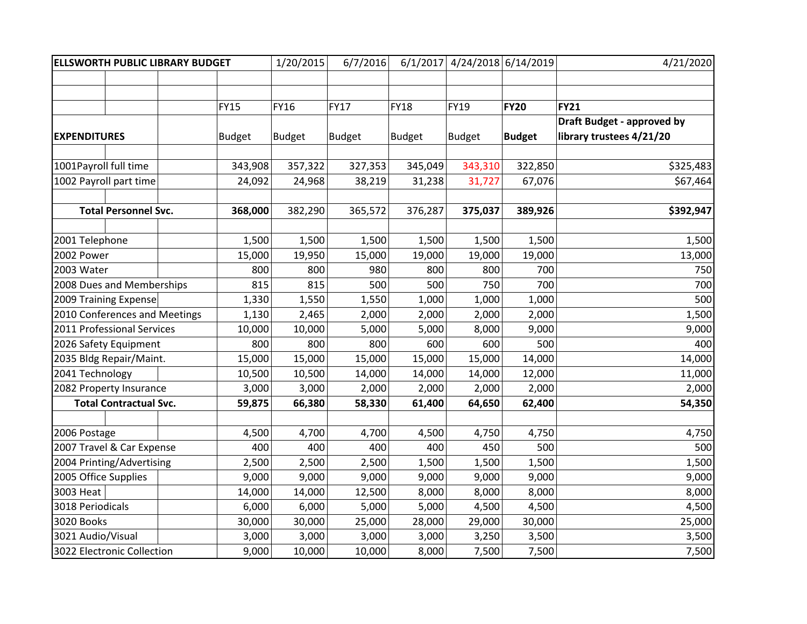| <b>ELLSWORTH PUBLIC LIBRARY BUDGET</b> |  |        |               | 1/20/2015     | 6/7/2016      | 6/1/2017      | 4/24/2018 6/14/2019 |               | 4/21/2020                         |
|----------------------------------------|--|--------|---------------|---------------|---------------|---------------|---------------------|---------------|-----------------------------------|
|                                        |  |        |               |               |               |               |                     |               |                                   |
|                                        |  |        |               |               |               |               |                     |               |                                   |
|                                        |  |        | <b>FY15</b>   | <b>FY16</b>   | <b>FY17</b>   | <b>FY18</b>   | <b>FY19</b>         | <b>FY20</b>   | <b>FY21</b>                       |
|                                        |  |        |               |               |               |               |                     |               | <b>Draft Budget - approved by</b> |
| <b>EXPENDITURES</b>                    |  |        | <b>Budget</b> | <b>Budget</b> | <b>Budget</b> | <b>Budget</b> | <b>Budget</b>       | <b>Budget</b> | library trustees 4/21/20          |
|                                        |  |        |               |               |               |               |                     |               |                                   |
| 1001Payroll full time                  |  |        | 343,908       | 357,322       | 327,353       | 345,049       | 343,310             | 322,850       | \$325,483                         |
| 1002 Payroll part time                 |  |        | 24,092        | 24,968        | 38,219        | 31,238        | 31,727              | 67,076        | \$67,464                          |
|                                        |  |        |               |               |               |               |                     |               |                                   |
| <b>Total Personnel Svc.</b>            |  |        | 368,000       | 382,290       | 365,572       | 376,287       | 375,037             | 389,926       | \$392,947                         |
|                                        |  |        |               |               |               |               |                     |               |                                   |
| 2001 Telephone                         |  |        | 1,500         | 1,500         | 1,500         | 1,500         | 1,500               | 1,500         | 1,500                             |
| 2002 Power                             |  |        | 15,000        | 19,950        | 15,000        | 19,000        | 19,000              | 19,000        | 13,000                            |
| 2003 Water                             |  |        | 800           | 800           | 980           | 800           | 800                 | 700           | 750                               |
| 2008 Dues and Memberships              |  | 815    | 815           | 500           | 500           | 750           | 700                 | 700           |                                   |
| 2009 Training Expense                  |  |        | 1,330         | 1,550         | 1,550         | 1,000         | 1,000               | 1,000         | 500                               |
| 2010 Conferences and Meetings          |  |        | 1,130         | 2,465         | 2,000         | 2,000         | 2,000               | 2,000         | 1,500                             |
| 2011 Professional Services             |  |        | 10,000        | 10,000        | 5,000         | 5,000         | 8,000               | 9,000         | 9,000                             |
| 2026 Safety Equipment                  |  |        | 800           | 800           | 800           | 600           | 600                 | 500           | 400                               |
| 2035 Bldg Repair/Maint.                |  | 15,000 | 15,000        | 15,000        | 15,000        | 15,000        | 14,000              | 14,000        |                                   |
| 2041 Technology                        |  |        | 10,500        | 10,500        | 14,000        | 14,000        | 14,000              | 12,000        | 11,000                            |
| 2082 Property Insurance                |  | 3,000  | 3,000         | 2,000         | 2,000         | 2,000         | 2,000               | 2,000         |                                   |
| <b>Total Contractual Svc.</b>          |  | 59,875 | 66,380        | 58,330        | 61,400        | 64,650        | 62,400              | 54,350        |                                   |
|                                        |  |        |               |               |               |               |                     |               |                                   |
| 2006 Postage                           |  |        | 4,500         | 4,700         | 4,700         | 4,500         | 4,750               | 4,750         | 4,750                             |
| 2007 Travel & Car Expense              |  |        | 400           | 400           | 400           | 400           | 450                 | 500           | 500                               |
| 2004 Printing/Advertising              |  | 2,500  | 2,500         | 2,500         | 1,500         | 1,500         | 1,500               | 1,500         |                                   |
| 2005 Office Supplies                   |  |        | 9,000         | 9,000         | 9,000         | 9,000         | 9,000               | 9,000         | 9,000                             |
| 3003 Heat                              |  |        | 14,000        | 14,000        | 12,500        | 8,000         | 8,000               | 8,000         | 8,000                             |
| 3018 Periodicals                       |  |        | 6,000         | 6,000         | 5,000         | 5,000         | 4,500               | 4,500         | 4,500                             |
| 3020 Books                             |  |        | 30,000        | 30,000        | 25,000        | 28,000        | 29,000              | 30,000        | 25,000                            |
| 3021 Audio/Visual                      |  |        | 3,000         | 3,000         | 3,000         | 3,000         | 3,250               | 3,500         | 3,500                             |
| 3022 Electronic Collection             |  | 9,000  | 10,000        | 10,000        | 8,000         | 7,500         | 7,500               | 7,500         |                                   |